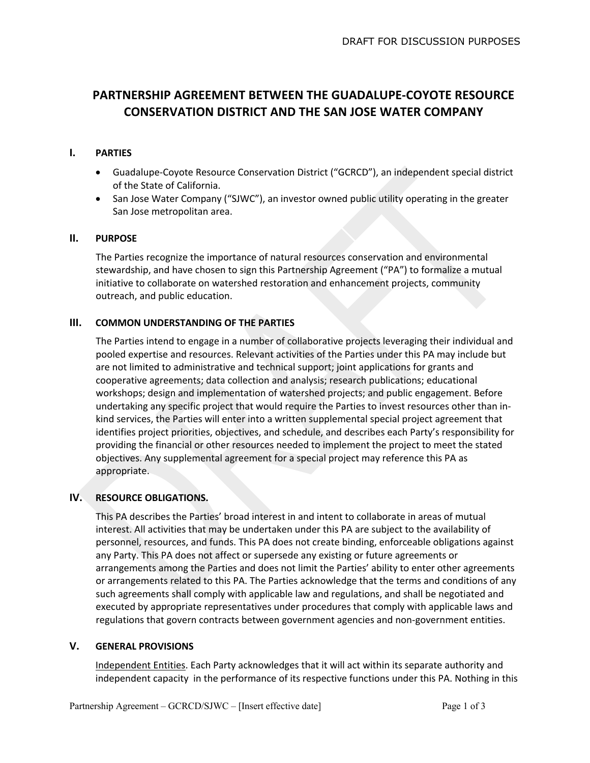# **PARTNERSHIP AGREEMENT BETWEEN THE GUADALUPE-COYOTE RESOURCE CONSERVATION DISTRICT AND THE SAN JOSE WATER COMPANY**

## **I. PARTIES**

- Guadalupe-Coyote Resource Conservation District ("GCRCD"), an independent special district of the State of California.
- San Jose Water Company ("SJWC"), an investor owned public utility operating in the greater San Jose metropolitan area.

## **II. PURPOSE**

The Parties recognize the importance of natural resources conservation and environmental stewardship, and have chosen to sign this Partnership Agreement ("PA") to formalize a mutual initiative to collaborate on watershed restoration and enhancement projects, community outreach, and public education.

## **III. COMMON UNDERSTANDING OF THE PARTIES**

The Parties intend to engage in a number of collaborative projects leveraging their individual and pooled expertise and resources. Relevant activities of the Parties under this PA may include but are not limited to administrative and technical support; joint applications for grants and cooperative agreements; data collection and analysis; research publications; educational workshops; design and implementation of watershed projects; and public engagement. Before undertaking any specific project that would require the Parties to invest resources other than inkind services, the Parties will enter into a written supplemental special project agreement that identifies project priorities, objectives, and schedule, and describes each Party's responsibility for providing the financial or other resources needed to implement the project to meet the stated objectives. Any supplemental agreement for a special project may reference this PA as appropriate.

## **IV. RESOURCE OBLIGATIONS.**

This PA describes the Parties' broad interest in and intent to collaborate in areas of mutual interest. All activities that may be undertaken under this PA are subject to the availability of personnel, resources, and funds. This PA does not create binding, enforceable obligations against any Party. This PA does not affect or supersede any existing or future agreements or arrangements among the Parties and does not limit the Parties' ability to enter other agreements or arrangements related to this PA. The Parties acknowledge that the terms and conditions of any such agreements shall comply with applicable law and regulations, and shall be negotiated and executed by appropriate representatives under procedures that comply with applicable laws and regulations that govern contracts between government agencies and non-government entities.

#### **V. GENERAL PROVISIONS**

Independent Entities. Each Party acknowledges that it will act within its separate authority and independent capacity in the performance of its respective functions under this PA. Nothing in this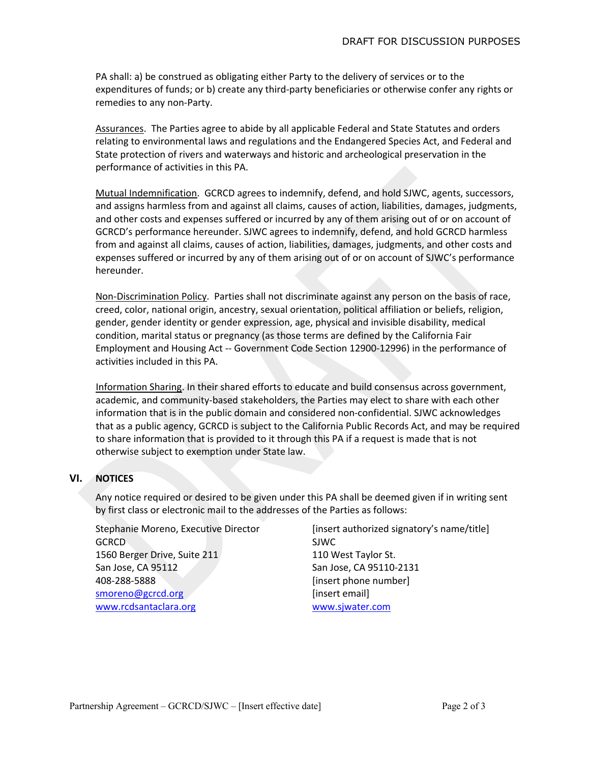PA shall: a) be construed as obligating either Party to the delivery of services or to the expenditures of funds; or b) create any third-party beneficiaries or otherwise confer any rights or remedies to any non-Party.

Assurances. The Parties agree to abide by all applicable Federal and State Statutes and orders relating to environmental laws and regulations and the Endangered Species Act, and Federal and State protection of rivers and waterways and historic and archeological preservation in the performance of activities in this PA.

Mutual Indemnification. GCRCD agrees to indemnify, defend, and hold SJWC, agents, successors, and assigns harmless from and against all claims, causes of action, liabilities, damages, judgments, and other costs and expenses suffered or incurred by any of them arising out of or on account of GCRCD's performance hereunder. SJWC agrees to indemnify, defend, and hold GCRCD harmless from and against all claims, causes of action, liabilities, damages, judgments, and other costs and expenses suffered or incurred by any of them arising out of or on account of SJWC's performance hereunder.

Non-Discrimination Policy. Parties shall not discriminate against any person on the basis of race, creed, color, national origin, ancestry, sexual orientation, political affiliation or beliefs, religion, gender, gender identity or gender expression, age, physical and invisible disability, medical condition, marital status or pregnancy (as those terms are defined by the California Fair Employment and Housing Act -- Government Code Section 12900-12996) in the performance of activities included in this PA.

Information Sharing. In their shared efforts to educate and build consensus across government, academic, and community-based stakeholders, the Parties may elect to share with each other information that is in the public domain and considered non-confidential. SJWC acknowledges that as a public agency, GCRCD is subject to the California Public Records Act, and may be required to share information that is provided to it through this PA if a request is made that is not otherwise subject to exemption under State law.

#### **VI. NOTICES**

Any notice required or desired to be given under this PA shall be deemed given if in writing sent by first class or electronic mail to the addresses of the Parties as follows:

GCRCD SJWC 1560 Berger Drive, Suite 211 110 West Taylor St. San Jose, CA 95112 San Jose, CA 95110-2131 408-288-5888 [insert phone number] smoreno@gcrcd.org [insert email] www.rcdsantaclara.org www.sjwater.com

Stephanie Moreno, Executive Director [insert authorized signatory's name/title]